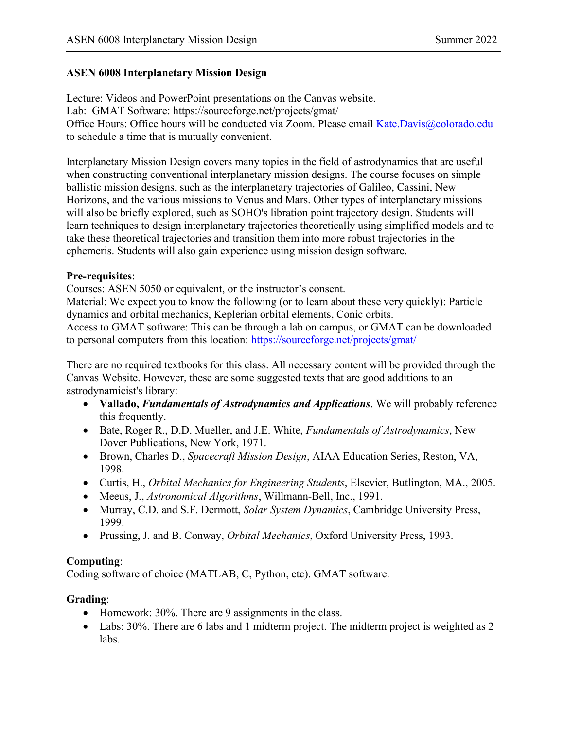### **ASEN 6008 Interplanetary Mission Design**

Lecture: Videos and PowerPoint presentations on the Canvas website. Lab: GMAT Software: https://sourceforge.net/projects/gmat/ Office Hours: Office hours will be conducted via Zoom. Please email [Kate.Davis@colorado.edu](mailto:Kate.Davis@colorado.edu) to schedule a time that is mutually convenient.

Interplanetary Mission Design covers many topics in the field of astrodynamics that are useful when constructing conventional interplanetary mission designs. The course focuses on simple ballistic mission designs, such as the interplanetary trajectories of Galileo, Cassini, New Horizons, and the various missions to Venus and Mars. Other types of interplanetary missions will also be briefly explored, such as SOHO's libration point trajectory design. Students will learn techniques to design interplanetary trajectories theoretically using simplified models and to take these theoretical trajectories and transition them into more robust trajectories in the ephemeris. Students will also gain experience using mission design software.

### **Pre-requisites**:

Courses: ASEN 5050 or equivalent, or the instructor's consent.

Material: We expect you to know the following (or to learn about these very quickly): Particle dynamics and orbital mechanics, Keplerian orbital elements, Conic orbits.

Access to GMAT software: This can be through a lab on campus, or GMAT can be downloaded to personal computers from this location:<https://sourceforge.net/projects/gmat/>

There are no required textbooks for this class. All necessary content will be provided through the Canvas Website. However, these are some suggested texts that are good additions to an astrodynamicist's library:

- **Vallado,** *Fundamentals of Astrodynamics and Applications*. We will probably reference this frequently.
- Bate, Roger R., D.D. Mueller, and J.E. White, *Fundamentals of Astrodynamics*, New Dover Publications, New York, 1971.
- Brown, Charles D., *Spacecraft Mission Design*, AIAA Education Series, Reston, VA, 1998.
- Curtis, H., *Orbital Mechanics for Engineering Students*, Elsevier, Butlington, MA., 2005.
- Meeus, J., *Astronomical Algorithms*, Willmann-Bell, Inc., 1991.
- Murray, C.D. and S.F. Dermott, *Solar System Dynamics*, Cambridge University Press, 1999.
- Prussing, J. and B. Conway, *Orbital Mechanics*, Oxford University Press, 1993.

# **Computing**:

Coding software of choice (MATLAB, C, Python, etc). GMAT software.

# **Grading**:

- Homework: 30%. There are 9 assignments in the class.
- Labs: 30%. There are 6 labs and 1 midterm project. The midterm project is weighted as 2 labs.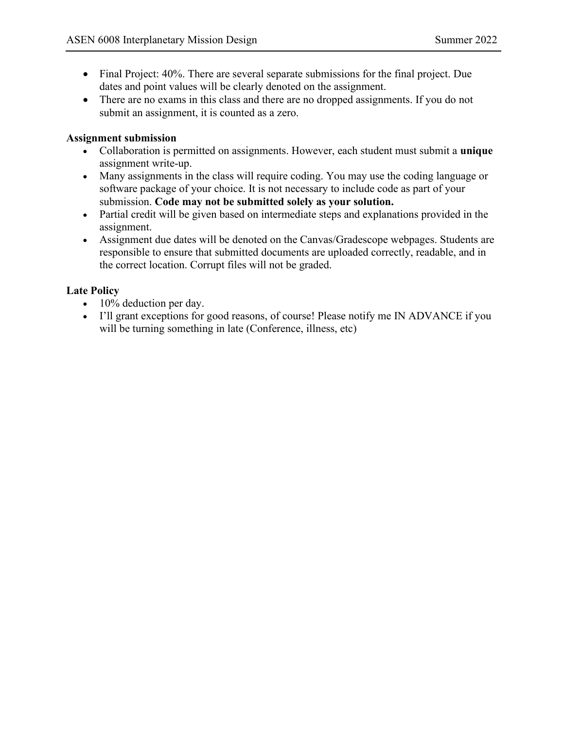- Final Project: 40%. There are several separate submissions for the final project. Due dates and point values will be clearly denoted on the assignment.
- There are no exams in this class and there are no dropped assignments. If you do not submit an assignment, it is counted as a zero.

#### **Assignment submission**

- Collaboration is permitted on assignments. However, each student must submit a **unique** assignment write-up.
- Many assignments in the class will require coding. You may use the coding language or software package of your choice. It is not necessary to include code as part of your submission. **Code may not be submitted solely as your solution.**
- Partial credit will be given based on intermediate steps and explanations provided in the assignment.
- Assignment due dates will be denoted on the Canvas/Gradescope webpages. Students are responsible to ensure that submitted documents are uploaded correctly, readable, and in the correct location. Corrupt files will not be graded.

### **Late Policy**

- 10% deduction per day.
- I'll grant exceptions for good reasons, of course! Please notify me IN ADVANCE if you will be turning something in late (Conference, illness, etc)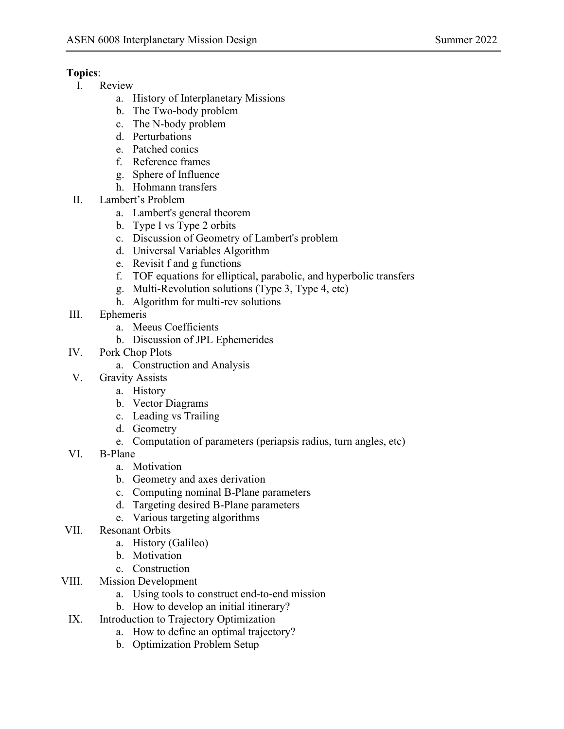# **Topics**:

- I. Review
	- a. History of Interplanetary Missions
	- b. The Two-body problem
	- c. The N-body problem
	- d. Perturbations
	- e. Patched conics
	- f. Reference frames
	- g. Sphere of Influence
	- h. Hohmann transfers
- II. Lambert's Problem
	- a. Lambert's general theorem
	- b. Type I vs Type 2 orbits
	- c. Discussion of Geometry of Lambert's problem
	- d. Universal Variables Algorithm
	- e. Revisit f and g functions
	- f. TOF equations for elliptical, parabolic, and hyperbolic transfers
	- g. Multi-Revolution solutions (Type 3, Type 4, etc)
	- h. Algorithm for multi-rev solutions
- III. Ephemeris
	- a. Meeus Coefficients
	- b. Discussion of JPL Ephemerides
- IV. Pork Chop Plots
	- a. Construction and Analysis
- V. Gravity Assists
	- a. History
	- b. Vector Diagrams
	- c. Leading vs Trailing
	- d. Geometry
	- e. Computation of parameters (periapsis radius, turn angles, etc)
- VI. B-Plane
	- a. Motivation
	- b. Geometry and axes derivation
	- c. Computing nominal B-Plane parameters
	- d. Targeting desired B-Plane parameters
	- e. Various targeting algorithms
- VII. Resonant Orbits
	- a. History (Galileo)
	- b. Motivation
	- c. Construction
- VIII. Mission Development
	- a. Using tools to construct end-to-end mission
	- b. How to develop an initial itinerary?
	- IX. Introduction to Trajectory Optimization
		- a. How to define an optimal trajectory?
		- b. Optimization Problem Setup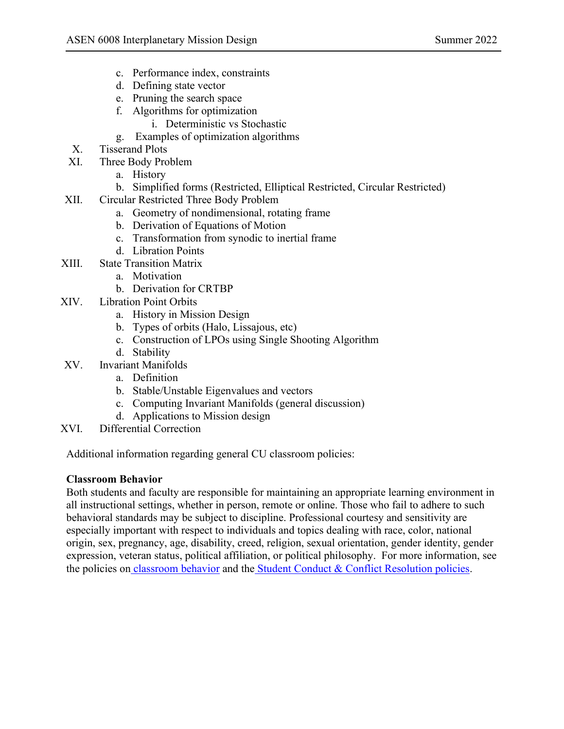- c. Performance index, constraints
- d. Defining state vector
- e. Pruning the search space
- f. Algorithms for optimization
	- i. Deterministic vs Stochastic
- g. Examples of optimization algorithms
- X. Tisserand Plots
- XI. Three Body Problem
	- a. History
	- b. Simplified forms (Restricted, Elliptical Restricted, Circular Restricted)
- XII. Circular Restricted Three Body Problem
	- a. Geometry of nondimensional, rotating frame
	- b. Derivation of Equations of Motion
	- c. Transformation from synodic to inertial frame
	- d. Libration Points
- XIII. State Transition Matrix
	- a. Motivation
	- b. Derivation for CRTBP
- XIV. Libration Point Orbits
	- a. History in Mission Design
	- b. Types of orbits (Halo, Lissajous, etc)
	- c. Construction of LPOs using Single Shooting Algorithm
	- d. Stability
- XV. Invariant Manifolds
	- a. Definition
	- b. Stable/Unstable Eigenvalues and vectors
	- c. Computing Invariant Manifolds (general discussion)
	- d. Applications to Mission design
- XVI. Differential Correction

Additional information regarding general CU classroom policies:

### **Classroom Behavior**

Both students and faculty are responsible for maintaining an appropriate learning environment in all instructional settings, whether in person, remote or online. Those who fail to adhere to such behavioral standards may be subject to discipline. Professional courtesy and sensitivity are especially important with respect to individuals and topics dealing with race, color, national origin, sex, pregnancy, age, disability, creed, religion, sexual orientation, gender identity, gender expression, veteran status, political affiliation, or political philosophy. For more information, see the policies on [classroom behavior](http://www.colorado.edu/policies/student-classroom-and-course-related-behavior) and th[e](https://www.colorado.edu/sccr/student-conduct) [Student Conduct & Conflict Resolution policies.](https://www.colorado.edu/sccr/student-conduct)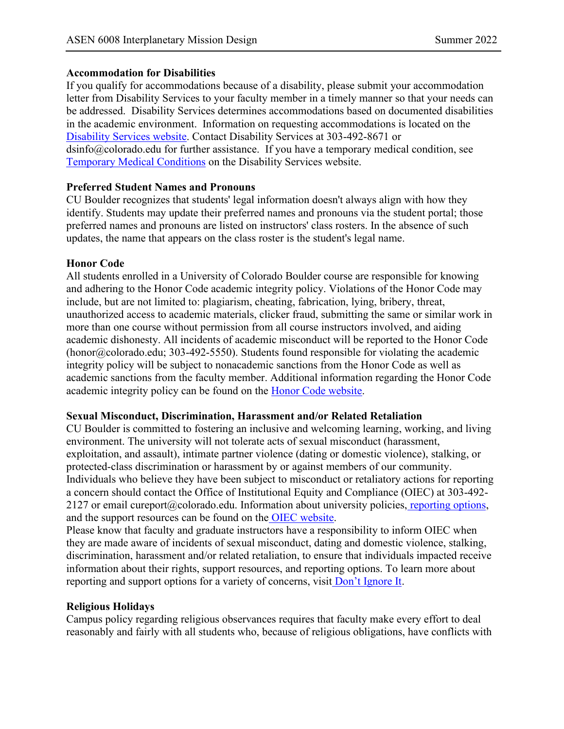### **Accommodation for Disabilities**

If you qualify for accommodations because of a disability, please submit your accommodation letter from Disability Services to your faculty member in a timely manner so that your needs can be addressed. Disability Services determines accommodations based on documented disabilities in the academic environment. Information on requesting accommodations is located on th[e](https://www.colorado.edu/disabilityservices/) [Disability Services website.](https://www.colorado.edu/disabilityservices/) Contact Disability Services at 303-492-8671 or dsinfo@colorado.edu for further assistance. If you have a temporary medical condition, se[e](http://www.colorado.edu/disabilityservices/students/temporary-medical-conditions) [Temporary Medical Conditions](http://www.colorado.edu/disabilityservices/students/temporary-medical-conditions) on the Disability Services website.

### **Preferred Student Names and Pronouns**

CU Boulder recognizes that students' legal information doesn't always align with how they identify. Students may update their preferred names and pronouns via the student portal; those preferred names and pronouns are listed on instructors' class rosters. In the absence of such updates, the name that appears on the class roster is the student's legal name.

#### **Honor Code**

All students enrolled in a University of Colorado Boulder course are responsible for knowing and adhering to the Honor Code academic integrity policy. Violations of the Honor Code may include, but are not limited to: plagiarism, cheating, fabrication, lying, bribery, threat, unauthorized access to academic materials, clicker fraud, submitting the same or similar work in more than one course without permission from all course instructors involved, and aiding academic dishonesty. All incidents of academic misconduct will be reported to the Honor Code (honor@colorado.edu; 303-492-5550). Students found responsible for violating the academic integrity policy will be subject to nonacademic sanctions from the Honor Code as well as academic sanctions from the faculty member. Additional information regarding the Honor Code academic integrity policy can be found on the [Honor Code website.](https://www.colorado.edu/osccr/honor-code)

#### **Sexual Misconduct, Discrimination, Harassment and/or Related Retaliation**

CU Boulder is committed to fostering an inclusive and welcoming learning, working, and living environment. The university will not tolerate acts of sexual misconduct (harassment, exploitation, and assault), intimate partner violence (dating or domestic violence), stalking, or protected-class discrimination or harassment by or against members of our community. Individuals who believe they have been subject to misconduct or retaliatory actions for reporting a concern should contact the Office of Institutional Equity and Compliance (OIEC) at 303-492 2127 or email cureport@colorado.edu. Information about university policies, [reporting options,](https://www.colorado.edu/oiec/reporting-resolutions/making-report) and the support resources can be found on the [OIEC website.](http://www.colorado.edu/institutionalequity/)

Please know that faculty and graduate instructors have a responsibility to inform OIEC when they are made aware of incidents of sexual misconduct, dating and domestic violence, stalking, discrimination, harassment and/or related retaliation, to ensure that individuals impacted receive information about their rights, support resources, and reporting options. To learn more about repor[t](https://www.colorado.edu/dontignoreit/)ing and support options for a variety of concerns, visit [Don't Ignore It](https://www.colorado.edu/dontignoreit/).

### **Religious Holidays**

Campus policy regarding religious observances requires that faculty make every effort to deal reasonably and fairly with all students who, because of religious obligations, have conflicts with